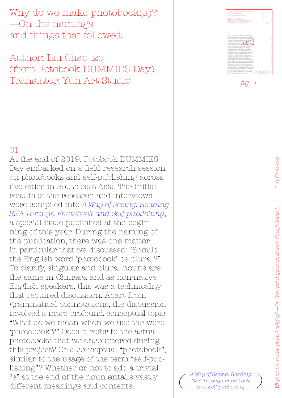Why do we make photobook(s)? —On the namings and things that followed.

Author: Liu Chao-tze (from Fotobook DUMMIES Day) Translator: Yun Art Studio

## 01

At the end of 2019, Fotobook DUMMIES Day embarked on a field research session on photobooks and self-publishing across five cities in South-east Asia. The initial results of the research and interviews were compiled into *[A Way of Seeing: Reading](https://fotobookdummiesday.com/Reading-SEA-2) [SEA Through Photobook and Self-publishing](https://fotobookdummiesday.com/Reading-SEA-2)*, a special issue published at the beginning of this year. During the naming of the publication, there was one matter in particular that we discussed: "Should the English word 'photobook' be plural?" To clarify, singular and plural nouns are the same in Chinese, and as non-native English speakers, this was a technicality that required discussion. Apart from grammatical connotations, the discussion involved a more profound, conceptual topic: "What do we mean when we use the word 'photobook'?" Does it refer to the actual photobooks that we encountered during this project? Or a conceptual "photobook", similar to the usage of the term "self-publishing"? Whether or not to add a trivial "s" at the end of the noun entails vastly different meanings and contexts.



*fig. 1*

*[A Way of Seeing: Reading](https://fotobookdummiesday.com/Reading-SEA-2) SEA Through Photobook [and Self-publishing](https://fotobookdummiesday.com/Reading-SEA-2) ( )*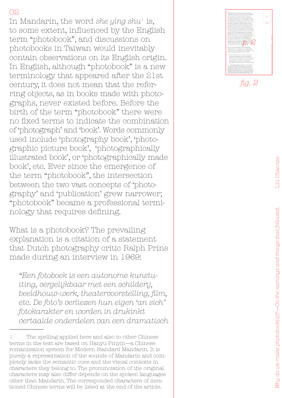In Mandarin, the word *she ying shu*1 is, to some extent, influenced by the English term "photobook", and discussions on photobooks in Taiwan would inevitably contain observations on its English origin. In English, although "photobook" is a new terminology that appeared after the 21st century, it does not mean that the referring objects, as in books made with photographs, never existed before. Before the birth of the term "photobook" there were no fixed terms to indicate the combination of 'photograph' and 'book'. Words commonly used include 'photography book', 'photographic picture book', 'photographically illustrated book', or 'photographically made book', etc. Ever since the emergence of the term "photobook", the intersection between the two vast concepts of 'photography' and 'publication' grew narrower; "photobook" became a professional terminology that requires defining.

What is a photobook? The prevailing explanation is a citation of a statement that Dutch photography critic Ralph Prins made during an interview in 1969:

*"Een fotoboek is een autonome kunstuiting, vergelijkbaar met een schilderij, beeldhouw-werk, theatervoorstelling, film, etc. De foto's verliezen hun eigen 'an sich' fotokarakter en worden in drukinkt vertaalde onderdelen van een dramatisch* 



The spelling applied here and also to other Chinese terms in the text are based on Hanyu Pinyin—a Chinese romanization system for Modern Standard Mandarin. It is purely a representation of the sounds of Mandarin and completely lacks the semantic cues and the visual contexts in characters they belong to. The pronunciation of the original characters may also differ depends on the spoken languages other than Mandarin. The corresponded characters of mentioned Chinese terms will be listed at the end of the article.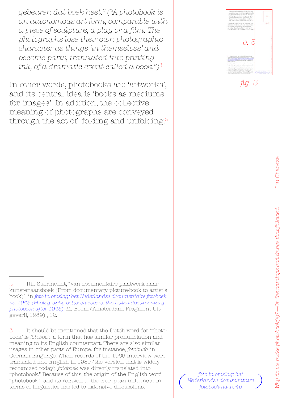*gebeuren dat boek heet." ("A photobook is an autonomous art form, comparable with a piece of sculpture, a play or a film. The photographs lose their own photographic character as things 'in themselves' and become parts, translated into printing ink, of a dramatic event called a book.")*<sup>2</sup>

In other words, photobooks are 'artworks', and its central idea is 'books as mediums for images'. In addition, the collective meaning of photographs are conveyed through the act of folding and unfolding.<sup>3</sup> *fig. 3*

3 It should be mentioned that the Dutch word for 'photobook' is *fotoboek*, a term that has similar pronunciation and meaning to its English counterpart. There are also similar usages in other parts of Europe, for instance, *fotobuch* in German language. When records of the 1969 interview were translated into English in 1989 (the version that is widely recognized today), *fotoboek* was directly translated into "photobook." Because of this, the origin of the English word "photobook" and its relation to the European influences in terms of linguistics has led to extensive discussions.

*[foto in omslag: het](http://bintphotobooks.blogspot.com/2015/10/a-classic-photography-between-covers.html)  Nederlandse documentaire*   $\left( \begin{array}{c}$  $\left( \begin{array}{c}$  $\left( \begin{array}{c}$  *foto in omslag: het*<br>*[fotoboek na 1945](http://bintphotobooks.blogspot.com/2015/10/a-classic-photography-between-covers.html)* 

*p. 3*

<sup>2</sup> Rik Suermondt, "Van documentaire plaatwerk naar kunstenaarsboek (From documentary picture-book to artist's book)", in *[foto in omslag: het Nederlandse documentaire fotoboek](http://bintphotobooks.blogspot.com/2015/10/a-classic-photography-between-covers.html) [na 1945 \(Photography between covers: the Dutch documentary](http://bintphotobooks.blogspot.com/2015/10/a-classic-photography-between-covers.html)  [photobook after 1945\)](http://bintphotobooks.blogspot.com/2015/10/a-classic-photography-between-covers.html)*, M. Boom (Amsterdam: Fragment Uitgeverij, 1989) , 12.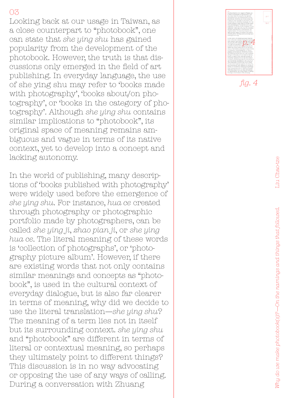Looking back at our usage in Taiwan, as a close counterpart to "photobook", one can state that *she ying shu* has gained popularity from the development of the photobook. However, the truth is that dis cussions only emerged in the field of art publishing. In everyday language, the use of she ying shu may refer to 'books made with photography', 'books about/on pho tography', or 'books in the category of pho tography'. Although *she ying shu* contains similar implications to "photobook", its original space of meaning remains am biguous and vague in terms of its native context, yet to develop into a concept and lacking autonomy.

In the world of publishing, many descrip tions of 'books published with photography' were widely used before the emergence of *she ying shu*. For instance, *hua ce* created through photography or photographic portfolio made by photographers, can be called *she ying ji*, *zhao pian ji*, or *she ying hua ce*. The literal meaning of these words is 'collection of photographs', or 'photography picture album'. However, if there are existing words that not only contains similar meanings and concepts as "photo book", is used in the cultural context of everyday dialogue, but is also far clearer in terms of meaning, why did we decide to use the literal translation—*she ying shu*? The meaning of a term lies not in itself but its surrounding context. *she ying shu* and "photobook" are different in terms of literal or contextual meaning, so perhaps they ultimately point to different things? This discussion is in no way advocating or opposing the use of any ways of calling. During a conversation with Zhuang

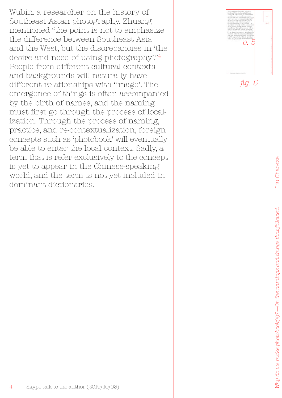Wubin, a researcher on the history of Southeast Asian photography, Zhuang mentioned "the point is not to emphasize the difference between Southeast Asia and the West, but the discrepancies in 'the desire and need of using photography'."4 People from different cultural contexts and backgrounds will naturally have different relationships with 'image'. The emergence of things is often accompanied by the birth of names, and the naming must first go through the process of localization. Through the process of naming, practice, and re-contextualization, foreign concepts such as 'photobook' will eventually be able to enter the local context. Sadly, a term that is refer exclusively to the concept is yet to appear in the Chinese-speaking world, and the term is not yet included in dominant dictionaries.

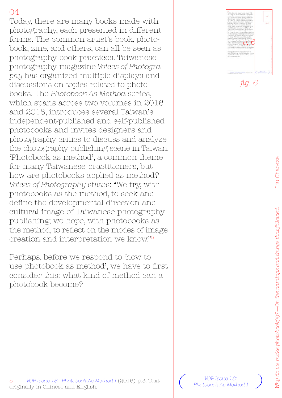Today, there are many books made with photography, each presented in different forms. The common artist's book, photobook, zine, and others, can all be seen as photography book practices. Taiwanese photography magazine *Voices of Photography* has organized multiple displays and discussions on topics related to photobooks. The *Photobook As Method* series, which spans across two volumes in 2016 and 2018, introduces several Taiwan's independent-published and self-published photobooks and invites designers and photography critics to discuss and analyze the photography publishing scene in Taiwan. 'Photobook as method', a common theme for many Taiwanese practitioners, but how are photobooks applied as method? *Voices of Photography* states: "We try, with photobooks as the method, to seek and define the developmental direction and cultural image of Taiwanese photography publishing; we hope, with photobooks as the method, to reflect on the modes of image creation and interpretation we know."5

Perhaps, before we respond to 'how to use photobook as method', we have to first consider this: what kind of method can a photobook become?



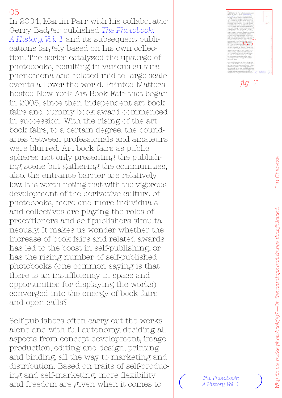In 2004, Martin Parr with his collaborator Gerry Badger published *[The Photobook:](https://de.phaidon.com/store/photography/the-photobook-a-history-9780714842851/)  [A History, Vol. 1](https://de.phaidon.com/store/photography/the-photobook-a-history-9780714842851/)* and its subsequent publications largely based on his own collection. The series catalyzed the upsurge of photobooks, resulting in various cultural phenomena and related mid to large-scale events all over the world. Printed Matters hosted New York Art Book Fair that began in 2005, since then independent art book fairs and dummy book award commenced in succession. With the rising of the art book fairs, to a certain degree, the boundaries between professionals and amateurs were blurred. Art book fairs as public spheres not only presenting the publishing scene but gathering the communities, also, the entrance barrier are relatively low. It is worth noting that with the vigorous development of the derivative culture of photobooks, more and more individuals and collectives are playing the roles of practitioners and self-publishers simultaneously. It makes us wonder whether the increase of book fairs and related awards has led to the boost in self-publishing, or has the rising number of self-published photobooks (one common saying is that there is an insufficiency in space and opportunities for displaying the works) converged into the energy of book fairs and open calls?

Self-publishers often carry out the works alone and with full autonomy, deciding all aspects from concept development, image production, editing and design, printing and binding, all the way to marketing and distribution. Based on traits of self-producing and self-marketing, more flexibility and freedom are given when it comes to  $\overline{a}$  *( <sup>The Photobook:* and freedom are given when it comes to  $\overline{a}$  *A History, Vol. 1*</sup>



*fig. 7*



*A History, Vol. 1*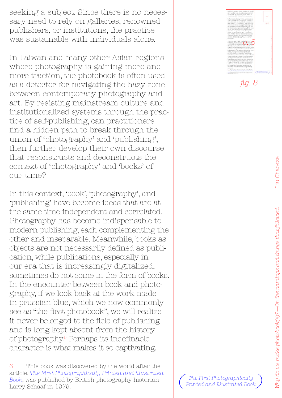seeking a subject. Since there is no necessary need to rely on galleries, renowned publishers, or institutions, the practice was sustainable with individuals alone.

In Taiwan and many other Asian regions where photography is gaining more and more traction, the photobook is often used as a detector for navigating the hazy zone between contemporary photography and art. By resisting mainstream culture and institutionalized systems through the practice of self-publishing, can practitioners find a hidden path to break through the union of 'photography' and 'publishing', then further develop their own discourse that reconstructs and deconstructs the context of 'photography' and 'books' of our time?

In this context, 'book', 'photography', and 'publishing' have become ideas that are at the same time independent and correlated. Photography has become indispensable to modern publishing, each complementing the other and inseparable. Meanwhile, books as objects are not necessarily defined as publication, while publications, especially in our era that is increasingly digitalized, sometimes do not come in the form of books. In the encounter between book and photography, if we look back at the work made in prussian blue, which we now commonly see as "the first photobook", we will realize it never belonged to the field of publishing and is long kept absent from the history of photography.6 Perhaps its indefinable character is what makes it so captivating.



*fig. 8*

*Printed and Illustrated Book*

This book was discovered by the world after the article, *[The First Photographically Printed and Illustrated](https://www.jstor.org/stable/24302456)  [Book](https://www.jstor.org/stable/24302456)*, was published by British photography historian article,*The First Photographically Printed and Itlustrated*<br>Book, was published by British photography historian (*Ine First Photographically* )<br>Larry Schaaf in 1979.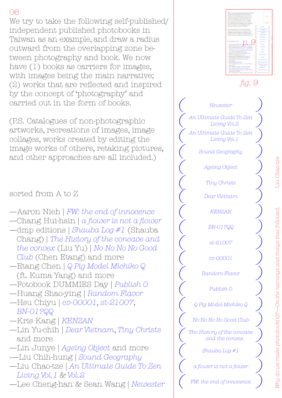We try to take the following self-published/ independent published photobooks in Taiwan as an example, and draw a radius outward from the overlapping zone between photography and book. We now have (1) books as carriers for images, with images being the main narrative; (2) works that are reflected and inspired by the concept of 'photography' and carried out in the form of books.

(P.S. Catalogues of non-photographic artworks, recreations of images, image collages, works created by editing the image works of others, retaking pictures, and other approaches are all included.)

sorted from A to Z

- —Aaron Nieh | *[FW: the end of innocence](https://www.nitesha.com/?pid=70929414)*
- —Chang Hui-hsin | *[a flower is not a flower](https://reurl.cc/QdrVeo)*
- —dmp editions | *[Shauba Log #1](http://www.hiwaterfall.com/store/dmp/)* (Shauba Chang) | *[The History of the concave and](http://www.hiwaterfall.com/store/dmp/dmp-editions/the-history-of-the-concave-and-the-convex-liu-yu/)  [the convex](http://www.hiwaterfall.com/store/dmp/dmp-editions/the-history-of-the-concave-and-the-convex-liu-yu/)* (Liu Yu) | *[No No No No Good](http://www.hiwaterfall.com/store/dmp/dmp-editions/no-no-no-no-good-club/)  [Club](http://www.hiwaterfall.com/store/dmp/dmp-editions/no-no-no-no-good-club/)* (Chen Etang) and more
- —[Etang Chen](https://moom.cat/tw/artist/etang-chen) | *[Q Pig Model Michiko Q](https://reurl.cc/Wd68bO)* (ft. Kuma Yang) and more
- —Fotobook DUMMIES Day | *[Publish 0](https://reurl.cc/D9zbgj)*
- —Huang Shao-ying | *[Random Flavor](https://reurl.cc/V6A24y)* —Hsu Chiyu | *[cv-00001](https://reurl.cc/L3y2N4)*, *[st-21007](https://reurl.cc/4RKlQL)*,
- *[BN-01?QQ](https://reurl.cc/Qdr24O)* —Kris Kang | *[KENZAN](https://reurl.cc/xZ5KAe)*
- —Lin Yu-chih | *[Dear Vietnam](https://moom.cat/tw/item/dear-vietnam-b)*, *[Tiny Christs](https://moom.cat/tw/item/tiny-christs)* and more
- —Lin Junye | *[Ageing Object](https://vimeo.com/222746335)* and more
- -—Liu Chih-hung | *[Sound Geography](https://reurl.cc/KkVzQm)*
- —Liu Chao-tze | *[An Ultimate Guide To Zen](https://reurl.cc/rxy0Lx)  [Living Vol.1](https://reurl.cc/rxy0Lx)* & *[Vol.2](https://reurl.cc/lVmpZq)*
- —Lee Cheng-han & Sean Wang | *[Newester](https://leechenghan.com/newester) ( )*

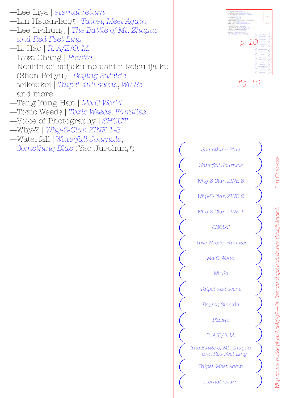- —Lee Liya | *[eternal return](https://www.liyafoto.com/eternal-return)* —Lin Hsuan-lang | *[Taipei, Meet Again](https://reurl.cc/g7Vn3L)* —Lee Li-chung | *[The Battle of Mt. Zhugao](https://vimeo.com/346805627) [and Red Feet Ling](https://vimeo.com/346805627)* —Li Hao | *[R. A/E/O. M.](https://reurl.cc/xZ5Wme)* —Liszt Chang | *[Plastic](https://vimeo.com/198351881)* —Noshinkei suijaku no ushi n keisu ija ku (Shen Pei-yu) | *[Beijing Suicide](https://shenpeiyu.com/publications-1/bei-jing-zi-sha/)* —teikoukei | *[Taipei dull scene](https://www.teikoukei.com/blanke)*, *[Wu Se](https://reurl.cc/oLkKYl)* and more —Teng Yung Han | *[Ma G World](https://reurl.cc/vDYKnL)* —Toxic Weeds | *[Toxic Weeds, Families](https://toxicweedszine.tumblr.com/)*
- —Voice of Photography | *[SHOUT](https://reurl.cc/5ljR0M)*
- —Why-Z | *[Why-Z-Clan ZINE 1-3](https://why-z.net/zine-and-merch)*
- —Waterfall | *[Waterfall Journals](http://www.hiwaterfall.com/store/waterfall-journal/)*, *[Something Blue](http://www.hiwaterfall.com/store/waterfall/artist-books/something-blue/)* (Yao Jui-chung)



*fig. 10*

*( ) ( ) The Battle of Mt. Zhugao ( ) ( ) ( ) ( ) ( ) ( ) ( ) ( )*  $\left(\begin{array}{cc} \text{Why-Z-Clan ZINE 1} \end{array}\right)$ *(Why-Z-Clan ZINE 2*) *(Why-Z-Clan ZINE 3) ( ) ( ) Taipei, Meet Again and Red Feet Ling R. A/E/O. M. Plastic Beijing Suicide Taipei dull scene Wu Se Ma G World Toxic Weeds, Families SHOUT Why-Z-Clan ZINE 1 Why-Z-Clan ZINE 2 Why-Z-Clan ZINE 3 Waterfall Journals Something Blue*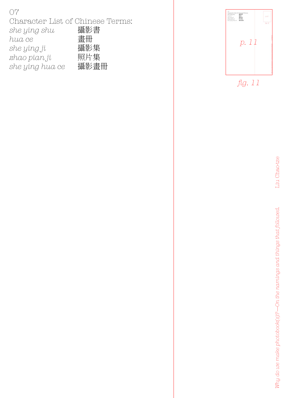| 07                               |      |
|----------------------------------|------|
| Character List of Chinese Terms: |      |
| she ying shu                     | 攝影書  |
| hua ce                           | 書冊   |
| she ying ji                      | 攝影集  |
| zhao pian ji                     | 照片集  |
| she ying hua ce                  | 攝影書冊 |

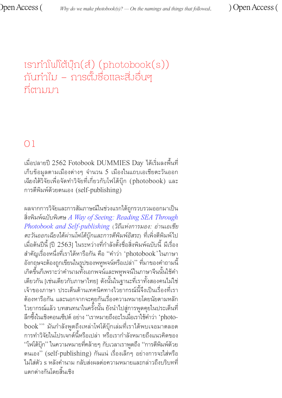# เราทำำ โฟโต้้บุ๊๊�ก(ส์์) (photobook(s)) กันทำไม – การตั้งชื่อและสิ่งอื่นๆ ที่ ตามมา

# 01

้เมื่อปลายปี 2562 Fotobook DUMMIES Day ได้เริ่มลงพื้นที่<br>่ เก็บข้อมูลตามเมืองต่างๆ จำนวน 5 เมืองในแถบเอเชียตะวันออก ้เฉียงใต้วิจัยเพื่อจัดทำวิจัยที่เกี่ยวกับโฟโต้บุ๊ก (photobook) และ การตีีพิิมพ์์ด้้วยตนเอง (self-publishing)

ผลจากการวิิจััยและการสััมภาษณ์์ในช่่วงแรกได้้ถูกรู วบรวมออกมาเป็็น สิ่่�งพิิมพ์ฉบั์ ับพิิเศษ *[A Way of Seeing: Reading SEA Through](https://fotobookdummiesday.com/Reading-SEA-2
) [Photobook and Self-publishing](https://fotobookdummiesday.com/Reading-SEA-2
)* (*วิิถีีแห่่งการมอง: อ่่านเอเชีีย ตะวัันออกเฉีียงใต้้ผ่่านโฟโต้้บุ๊๊�กและการตีีพิิมพ์์อิิสระ*) ที่่�เพิ่่�งตีีพิิมพ์์ไป ้เมื่อต้นปีนี้ [ปี 2563] ในระหว่างที่กำลังตั้งชื่อสิ่งพิมพ์ฉบับนี้ มีเรื่อง สำคัญเรื่องหนึ่งที่เราได้หารือกัน คือ ''คำว่า 'photobook' ในภาษา<br>อังกฤษจะต้องถูกเขียนในรูปของพหูพจน์หรือเปล่า'' ที่มาของคำถามนี้ ้เกิดขึ้นก็เพราะว่าคำนามทั้งเอกพจน์และพหูพจน์ในภาษาจีนนั้นใช้คำ<br>เดียวกัน [เช่นเดียวกับภาษาไทย] ดังนั้นในฐานะที่เราทั้งสองคนไม่ใช่<br>เจ้าของภาษา ประเด็นด้านเทคนิคทางไวยากรณ์นี้จึงเป็นเรื่องที่เรา<br>ต้องหารือกัน และนอกจากจะคุยก ไวยากรณ์แล้ว บทสนทนาในครั้งนั้น ยังนำไปสู่การพูดคุยในประเด็นที่ ลึกซึ้งในเชิงคอนเซ็ปต์ อย่าง ''เราหมายถึงอะไรเมื่อเราใช้คำว่า 'photobook''' มันกำลังพูดถึงเหล่าโฟโต้บุ๊กเล่มที่่เราได้พบเจอมาตลอด ึ การทำวิจัยในโปรเจกต์นี้หรือเปล่า หรือเรากำลังหมายถึงแนวคิดของ ี "โฟโต้บุ๊ก" ในความหมายที่คล้ายๆ กับเวลาเราพูดถึง ''การตีพิมพ์ด้วย ตนเอง" (self-publishing) กัันแน่่ เรื่่�องเล็็กๆ อย่่างการจะใส่่หรืือ ้ไม่ใส่ตัว s หลังคำนาม กลับส่งผลต่อความหมายและกล่าวถึงบริบทที่ แตกต่่างกัันโดยสิ้้�นเชิิง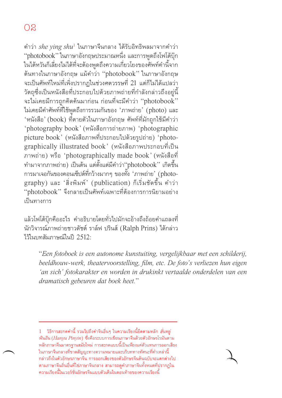้คำว่า *she ying shu*' ในภาษาจีนกลาง ได้รับอิทธิพลมาจากคำว่า "photobook" ในภาษาอังกฤษประมาณหนึ่ง และการพูดถึงโฟโต้บุ๊ก ่ ในไต้หวันก็เลี่ยงไม่ได้ที่จะต้องพูดถึงความเกี่ยวโยงของศัพท์คำนี้จาก ต้้นทางในภาษาอัังกฤษ แม้้คำำว่่า "photobook" ในภาษาอัังกฤษ ้จะเป็นศัพท์ใหม่ที่่เพิ่งปรากฏในช่วงศตวรรษที่ 21 แต่ก็ไม่ได้แปลว่า<br>วัตถุซึ่งเป็นหนังสือที่ประกอบไปด้วยภาพถ่ายที่กำลังกล่าวถึงอยู่นี้ ิจะไม่เคยมีการถูกคิดค้นมาก่อน ก่อนที่่จะมีคำว่า "photobook" ไม่่เคยมีีคำศัำ พท์ั ์ที่่�ใช้พู้ดถึึ ู งการรวมกัันของ 'ภาพถ่่าย' (photo) และ 'หนัังสืือ' (book) ที่่�ตายตััวในภาษาอัังกฤษ ศััพท์์ที่่�มัักถููกใช้้มีีคำำว่่า 'photography book' (หนัังสืือการถ่่ายภาพ) 'photographic  $picture\ book'$  (หนังสือภาพที่ประกอบไปด้วยรูปถ่าย) 'photographically illustrated book' (หนังสือภาพประกอบที่เป็น ภาพถ่่าย) หรืือ 'photographically made book' (หนัังสืือที่่� ทำมาจากภาพถ่าย) เป็นต<sup>้</sup>น แต่ตั้งแต่มี<sup>ี</sup>คำว่า"photobook" เกิดขึ้น การมาเจอกันของคอนเซ็ปต์ที่่กว้างมากๆ ของทั้ง 'ภาพถ่าย' (photography) และ 'สิ่งพิมพ์' (publication) ก็เริ่มชัดขึ้น คำว่า "photobook" จึึงกลายเป็็นศััพท์์เฉพาะที่่�ต้้องการการนิิยามอย่่าง เป็็นทางการ

้ แล้วโฟโต้บ๊กคืออะไร คำอธิบายโดยทั่วไปมักจะอ้างถึงถ้อยคำแถลงที่ ้ นักวิจารณ์ภาพถ่ายชาวดัชต์ ราล์ฟ ปรินส์ (Ralph Prins) ได้กล่าว ไว้้ในบทสััมภาษณ์์ในปีี 2512:

"*Een fotoboek is een autonome kunstuiting, vergelijkbaar met een schilderij, beeldhouw-werk, theatervoorstelling, film, etc. De foto's verliezen hun eigen 'an sich' fotokarakter en worden in drukinkt vertaalde onderdelen van een dramatisch gebeuren dat boek heet.*"

<sup>1</sup> วิธีการสะกดคำนี้ รวมไปถึงคำจีนอื่นๆ ในความเรียงนี้ยึดตามหลัก *ฮั่นหยู่*<br>*พินอิน (Hanyu Pinyin*) ซึ่งคือระบบการเขียนภาษาจีนด้วยตัวอักษรโรมันตาม ่ หลักภาษาจีนมาตรฐานสมัยใหม่่ การสะกดแบบนี้เป็นเพียงแค่ตัวแทนการออกเสียง<br>ในภาษาจีนกลางที่ขาดสัญญะทางความหมายและบริบททางทัศนะที่คำเหล่านี้ ึกล่าวถึงในตัวอักษรภาษาจีน การออกเสียงของตัวอักษรจีนต้นฉบับจะแตกต่างไป ี่ ตามภาษาจีนถิ่นอื่นที่ใช่ภาษาจีนกลาง สามารถดูคำภาษาจีนทั้งหมดที่ปรากฏใน ้ ความเรียงนี้ในเวอร์ชั่นอักษรจีนแบบตัวเต็มในตอนท้ายของความเรียงนี้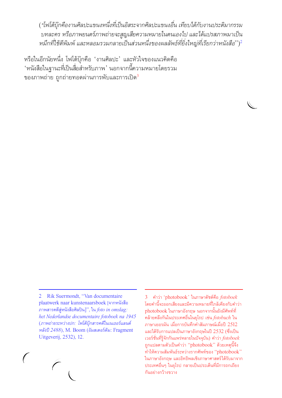(*"โฟโต้้บุ๊๊�กคืืองานศิิลปะแขนงหนึ่่�งที่�เ่ป็็นอิิสระจากศิิลปะแขนงอื่่�น เทีียบได้้กับังานประติิมากรรม บทละคร หรืือภาพยนตร์์ภาพถ่่ายจะสููญเสีียความหมายในตนเองไป และได้้แปรสภาพมาเป็็น หมึึกที่�ใ่ช้ตี้ีพิิมพ์์ และหลอมรวมกลายเป็็นส่ว่ นหนึ่่�งของผลลัพัธ์์ที่ยิ่่�่�งใหญ่่ที่�เ่รีียกว่่าหนัังสืือ*")2

หรือในอีกนัยหนึ่่ง โฟโต้บุ๊กคือ 'งานศิลปะ' และหัวใจของแนวคิดคือ ้หนังสือในฐานะที่เป็นสื่อสำหรับภาพ ' นอกจากนี้ความหมายโดยรวม ของภาพถ่าย ถูกถ่ายทอดผ่านการพับและการเปิด<sup>3</sup>

2 Rik Suermondt, "Van documentaire plaatwerk naar kunstenaarsboek [จากหนัังสืือ ภาพสารคดีีสู่่หนัังสืือศิิลปิิน]", ใน*foto in omslag: het Nederlandse documentaire fotoboek na 1945* (*ภาพถ่่ายระหว่่างปก: โฟโต้้บุ๊๊�กสารคดีีในเนเธอร์์แลนด์์ หลัังปีี2488*), M. Boom (อััมสเตอร์์ดััม: Fragment Uitgeverij, 2532), 12.

3 คำำว่่า 'photobook' ในภาษาดััชต์์คืือ *fotoboek* โดยคำนี้จะออกเสียงและมีความหมายที่ใกล้เคียงกับคำว่า photobook ในภาษาอังกฤษ นอกจากนั้นยังมีศัพท์ที่ คล้้ายคลึึงกัันในประเทศอื่่�นในยุุโรป เช่่น*fotobuch* ใน ภาษาเยอรมััน เมื่่�อการบัันทึึกคำำ สััมภาษณ์์เมื่่�อปีี 2512 ้ และได้รับการแปลเป็นภาษาอังกฤษในปี 2532 (ซึ่งเป็น เวอร์์ชั่่�นที่่�รู้้จัักกัันแพร่่หลายในปััจจุุบััน) คำำว่่า *fotoboek* ิถูกแปลตามตัวเป็นคำว่า "photobook" ด้วยเหตุนี้จึง ทำำ ให้้ความสััมพัันธ์์ระหว่่างรากศััพท์์ของ "photobook" ในภาษาอัังกฤษ และอิิทธิิพลเชิิงภาษาศาสตร์์ได้้รัับมาจาก ประเทศอื่่�นๆ ในยุุโรป กลายเป็็นประเด็็นที่่�มีีการถกเถีียง กัันอย่่างกว้้างขวาง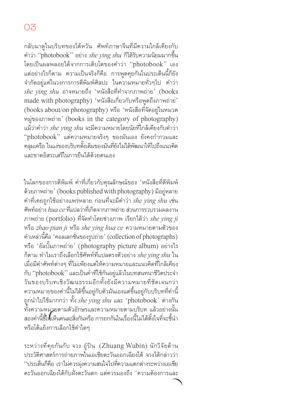ึกลับมาดูในบริบทของไต้หวัน ศัพท์ภาษาจีนที่มีความใกล้เคียงกับ คำว่ำ ่า "photobook" อย่่าง *she ying shu* ก็็ได้้รัับความนิิยมมากขึ้้�น โดยเป็็นผลพลอยได้้จากการเติิบโตของคำำว่่า "photobook" เอง ี แต่่อย่างไรก็ตาม ความเป็นจริงก็คือ การพูดคุยกันในประเด็นนี้ก็ยัง ้จำกัดอยู่แค่ในวงการการตีพิมพ์ศิลปะ ในความหมายทั่วๆไป คำว่า *s he ying shu* อาจหมายถึึง 'หนัังสืือที่่�ทำจำ ากภาพถ่่าย' (books made with photography) 'หนังสือเกี่ยวกับหรือพูดถึงภาพถ่าย' (books about/on photography) หรืือ 'หนัังสืือที่่�จัดัอยู่่ในหมวด หมู่่ของภาพถ่่าย' (books in the category of photography) ้แม้ว่าคำว่า *she ying shu* จะมีความหมายโดยนัยที่ใกล้เคียงกับคำว่า "photobook" แต่ค่ วามหมายจริิงๆ ของมัันเอง ยัังคงกำกำ วมและ ้ คลุมเครือ ในแง่ของบริบทดั้งเดิมของมันที่ยังไม่ได้พัฒนาให้ไปถึงแนวคิด และขาดอิิสระเสรีีในการยืืนได้้ด้้วยตนเอง

่ ในโลกของการตีพิมพ์ คำที่เกี่ยวกับคุุณลักษณ์ของ 'หนังสือที่ตีพิมพ์<br> ด้วยภาพถ่าย' (books published with photography) มีอยู่หลาย คำำ ที่่�เคยถููกใช้้อย่่างแพร่่หลาย ก่่อนที่่�จะมีีคำว่ำ ่า *she ying shu* เช่่น ์ ศัพท์อย่าง *hua ce* ที่แปลว่าที่เกิดจากภาพถ่าย ส่วนการรวบรวมผลงาน ภาพถ่่าย (portfolio) ที่่�จัดทำั ำ โดยช่่างภาพ เรีียกได้้ว่่า *she ying ji* หรืือ *zhao pian ji* หรืือ *s he ying hua ce* ความหมายตามตััวของ คำำ เหล่่านี้้คืื�อ 'คอลเลกชั่่�นของรููปถ่่าย' (collection of photographs) หรือ 'อัลบั้มภาพถ่าย' (photography picture album) อย่างไร ก็็ตาม ทำำ ไมเราถึึงเลืือกใช้ศั้ พท์ั ์ที่่�แปลตรงตััวอย่่าง *she ying shu* ใน ้เมื่อมีคำศัพท์ต่างๆ ที่ไม่เพียงแต่ให้ความหมายและแนวคิดที่ใกล้เคียง กับ ''photobook'' และเป็นคำที่ใช้กันอยู่แล้วในบทสนทนาชีวิตประจำ ้วันของบริบทเชิงวัฒนธรรมอีกทั้งยังมีความหมายที่ชัดเจนกว่า<br>ความหมายของคำนี้ไม่ได้ขึ้นอยู่กับตัวมันเองแต่ขึ้นอยู่กับบริบทที่คำนี้ ถูกนำไปใช้มากกว่า ทั้ง *she ying shu* และ 'photobook' ต่างกัน ทั้งความหมายตามตัวอักษรและความหมายตามบริบท แล้วอย่างนั้น สองคำนี้ชี้ให้้เห็นคนละสิ่งกันหรือ การถกกันในเรื่องนี้ไม่ได้ตั้งใจที่จะชี้นำ<br>หรือโต้แย้งการเลือกใช้คำใดๆ

ระหว่างที่คุยกันกับ จวง อู๋ปิน (Zhuang Wubin) นักวิจัยด้าน ี ประวัติศาสตร์การถ่ายภาพในเอเชียตะวันออกเฉียงใต้ จวงได้กล่าวว่า<br>''ประเด็นก็คือ เราไม่ควรม่งความสนใจไปที่ความแตกต่างระหว่างเอเชีย ี่ ตะวันออกเฉียงใต้กับฝั่งตะวันตก แต่ควรมองถึง 'ความต้องการและ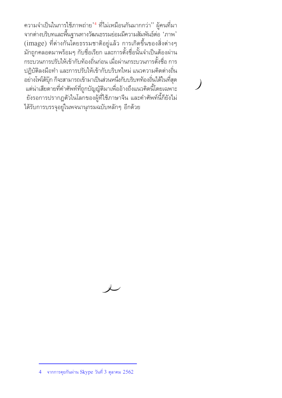้ ความจำเป็นในการใช้ภาพถ่าย<sup>'4</sup> ที่ไม่เหมือนกันมากกว่า'' ผู้คนที่มา ิจากต่างบริบทและพื้นฐานทางวัฒนธรรมย่่อมมีความสัมพันธ์ต่่อ 'ภาพ'  $\,(\mathrm{image})\,$  ที่ต่างกันโดยธรรมชาติอยู่แล้ว การเกิดขึ้นของสิ่งต่างๆ มักถูกคลอดมาพร้อมๆ กับชื่อเรียก และการตั้งชื่อนั้นจำเป็นต้องผ่าน ้ กระบวนการปรับให้เข้ากับท้องถิ่นก่อน เมื่อผ่านกระบวนการตั้งชื่อ การ ้ปฏิบัติลงมือทำ และการปรับให้เข้ากับบริบทใหม่ แนวความคิดต่างถิ่น ้อย่างโฟโต้บุ๊ก ก็จะสามารถเข้ามาเป็นส่วนหนึ่่งกับบริบทท้องถิ่นได้ในที่่สุด ่ แต่น่าเสียดายที่คำศัพท์ที่่ถูกบัญญัติมาเพื่ออ้างถึงแนวคิดนี้โดยเฉพาะ ี ยังรอการปรากฏตัวในโลกของผู้ที่่ใช้ภาษาจีน และคำศัพท์นี้ก็ยังไม่<br>ได้รับการบรรจุอยู่ในพจนานุกรมฉบับหลักๆ อีกด้วย



<sup>4</sup> จากการคุุยกัันผ่่าน Skype วัันที่่� 3 ตุุลาคม 2562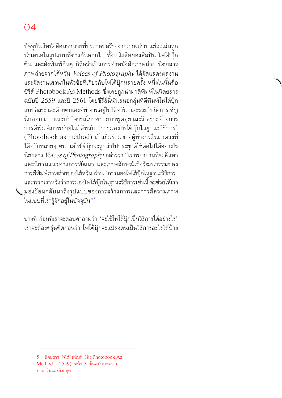้ บัจจุบันมีหนังสือมากมายที่ประกอบสร้างจากภาพถ่าย แต่ละเล่มถูก ้ นำเสนอในรูปแบบที่ต่างกันออกไป ทั้งหนังสือของศิลปิน โฟโต้บุ๊ก ้ ซีน และสิ่งพิมพ์อื่นๆ ก็ถือว่าเป็นการทำหนังสือภาพถ่าย นิตยสาร ภาพถ่่ายจากไต้้หวััน *Voices of Photography* ได้้จััดแสดงผลงาน ้ และจัดงานเสวนาในหัวข้อที่่เกี่ยวกับโฟโต้บุ๊กหลายครั้ง หนึ่งในนั้นคือ ซีรีส์ Photobook As Methods ซึ่งเคยถูกนำมาตีพิมพ์ในนิตยสาร ้ฉบับปี 2559 และปี 2561 โดยซีรีส์นี้นำเสนอกลุ่มที่่ตีพิมพ์โฟโต้บุ๊ก ้แบบอิสระและด้วยตนเองที่ทำงานอยู่ในไต้หวัน และรวมไปถึงการเชิญ ้นักออกแบบและนักวิจารณ์ภาพถ่ายมาพูดคุยและวิเคราะห์วงการ ึการตีพิมพ์ภาพถ่ายในไต้หวัน 'การมองโฟโต้บุ๊กในฐานะวิธีการ' (Photobook as method) เป็็นธีีมร่่วมของผู้้ทำำ งานในแวดวงที่่� ้ไต้หวันหลายๆ คน แต่โฟโต้บุ๊กจะถูกนำไปประยุกต์ใช้ต่อไปได้อย่างไร นิิตยสาร *Voices of Photography* กล่่าวว่่า "เราพยายามที่่�จะค้้นหา และนิิยามแนวทางการพััฒนา และภาพลัักษณ์์เชิิงวััฒนธรรมของ ี การตีพิมพ์ภาพถ่ายของไต้หวัน ผ่าน 'การมองโฟโต้บ๊กในฐานะวิธีการ' ้ และพวกเราหวังว่าการมองโฟโต้บุ๊กในฐานะวิธีการเช่่นนี้ จะช่วยให้เรา มองย้้อนกลัับมาถึึงรููปแบบของการสร้้างภาพและการตีีความภาพ ในแบบที่เรารู้จักอยู่ในปัจจุบัน'<sup>,5</sup>

ี บางที่ ก่อนที่เราจะตอบคำถามว่า 'จะใช้โฟโต้บุ๊กเป็นวิธีการได้อย่างไร' ี เราจะต้องครุ่นคิดก่อนว่า โฟโต้บุ๊กจะแปลงตนเป็นวิธีการอะไรได้บ้าง

<sup>5</sup> นิิตยสาร *VOP* ฉบัับที่่� [18: Photobook As](https://www.vopmagazine.com/vop018/
)  [Method I](https://www.vopmagazine.com/vop018/
) (2559), หน้้า 3. ต้้นฉบัับบทความ ภาษาจีีนและอัังกฤษ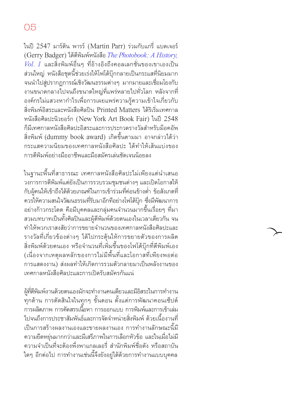ในปี 2547 มาร์ติน พารร์ (Martin Parr) ร่วมกับแกรี่ แบดเจอร์ (Gerry Badger) ได้้ตีีพิิมพ์์หนัังสืือ *[The Photobook: A History,](https://de.phaidon.com/store/photography/the-photobook-a-history-9780714842851/
)*   $\emph{Vol.}$   $1$  และสิ่งพิมพ์อื่นๆ ที่อ้างอิงถึงคอลเลกชั่นของเขาเองเป็น ้ส่วนใหญ่ หนังสือชุดนี้ช่วยเร่งให้โฟโต้บุ๊กกลายเป็นกระแสที่นิยมมาก ้จนนำไปสู่ปรากฏการณ์เชิงวัฒนธรรมต่างๆ มากมายและเชื่อมโยงกับ ึงานขนาดกลางไปจนถึงขนาดใหญ่ที่แพร่หลายไปทั่วโลก หลังจากที่ ้องค์กรไม่แสวงหากำไรเพื่อการเผยแพร่ความรู้ความเข้าใจเกี่ยวกับ สิ่งพิมพ์อิสระและหนังสือศิลปิน Printed Matters ได้ริเริ่มเทศกาล หนัังสืือศิิลปะนิิวยอร์ก์ (New York Art Book Fair) ในปีี 2548 ก็็มีีเทศกาลหนัังสืือศิิลปะอิิสระและการประกวดรางวััลสำำ หรัับม็็อคอััพ ้สิ่งพิมพ์ (dummy book award) เกิดขึ้นตามมา อาจกล่าวได้ว่า กระแสความนิิยมของเทศกาลหนัังสืือศิิลปะ ได้้ทำำ ให้้เส้้นแบ่่งของ การตีพิมพ์อย่างมืออาชีพและมือสมัครเล่นชัดเจนน้อยลง

ในฐานะพื้นที่สาธารณะ เทศกาลหนังสือศิลปะไม่เพียงแต่นำเสนอ<br>วงการการตีพิมพ์แต่ยังเป็นการรวบรวมชุมชนต่างๆ และเปิดโอกาสให้ วงการการตี<sub>่</sub>พิมพ์แต่ยังเป็นการรวบรวมชุมชนต่างๆ และเปิดโอกาสให้<br>กับผู้คนให้เข้าถึงได้ด้วยเกณฑ์ในการเข้าร่วมที่ค่อนข้างต่ำ ข้อสังเกตที่ ้ ควรให้ความสนใจวัฒนธรรมที่รับมาอีกทีอย่างโฟโต้บุ๊ก ซึ่งมีพัฒนาการ ้อย่างก้าวกระโดด คือมีบุคคลและกลุ่มคนจำนวนมากขึ้นเรื่อยๆ ที่มา ้สวมบทบาทเป็นทั้งศิลปินและผู้ตีพิมพ์ด้วยตนเองในเวลาเดียวกัน จน ทำำ ให้้พวกเราสงสััยว่่าการขยายจำำนวนของเทศกาลหนัังสืือศิิลปะและ ้ รางวัลที่่เกี่ยวข้องต่างๆ ได้ไปกระต้นให้การขยายตัวของการผลิต สิ่งพิมพ์ด้วยตนเอง หรือจำนวนที่่เพิ่มขึ้นของโฟโต้บุ๊กที่ตีพิมพ์เอง (เนื่องจากเหตุผลหลักของการไม่มีพื้นที่และโอกาสที่่เพียงพอต่อ การแสดงงาน) ส่่งผลทำำ ให้้เกิิดการรวมตััวกลายมาเป็็นพลัังงานของ เทศกาลหนัังสืือศิิลปะและการเปิิดรัับสมััครกัันแน่่

ผู้ที่ตีพิมพ์งานด้วยตนเองมักจะทำงานคนเดียวและมีอิสระในการทำงาน ์ ทุุกด้าน การตัดสินใจในทุกๆ ขั้นตอน ตั้งแต่การพัฒนาคอนเซ็ปต์<br>การผลิตภาพ การคัดสรรเนื้อหา การออกแบบ การพิมพ์และการเข้าเล่ม ้ไปจนถึงการประชาสัมพันธ์และการจัดจำหน่ายสิ่งพิมพ์ ด้วยเนื้องานที่ ี เป็นการสร้างผลงานเองและขายผลงานเอง การทำงานลักษณะนี้มี<br>ความยืดหยุ่นมากกว่าและมีเสรีภาพในการเลือกหัวข้อ และในเมื่อไม่มี ้ความจำเป็นที่จะต้องพึ่งพาแกลเลอรี่ สำนักพิมพ์ชื่อดัง หรือสถาบัน ใดๆ อีกต่อไป การทำงานเช่นนี้จึงยังอยู่ได้ด้วยการทำงานแบบบุคคล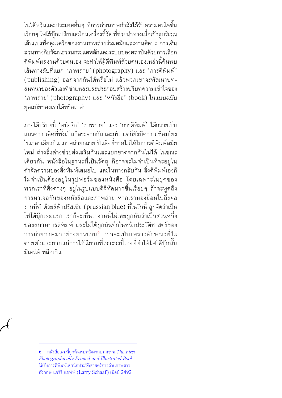ในไต้หวันและประเทศอื่นๆ ที่การถ่ายภาพกำลังได้รับความสนใจขึ้น เรื่อยๆ โฟโต้บุ๊กเปรียบเสมือนเครื่องชี้วัด ที่ช่วยนำทางเมื่อเข้าสู่บริเวณ เส้้นแบ่่งที่่�คลุุมเครืือของงานภาพถ่่ายร่่วมสมััยและงานศิิลปะ การเดิิน สวนทางกัับวััฒนธรรมกระแสหลักัและระบบของสถาบัันด้้วยการเลืือก ้ตีพิมพ์ผลงานด้วยตนเอง จะทำให้ผู้ตีพิมพ์ด้วยตนเองเหล่านี้ค้นพบ ้เส้นทางลับที่แยก 'ภาพถ่าย' (photography) และ 'การตีพิมพ์'<br>(publishing) ออกจากกันได้หรือไม่ แล้วพวกเขาจะพัฒนาบท-สนทนาของตัวเองที่ชำแหละและประกอบสร้างบริบทความเข้าใจของ<br>'ภาพถ่าย' (photography) และ 'หนังสือ' (book) ในแบบฉบับ ยุุคสมััยของเราได้้หรืือเปล่่า

ภายใต้้บริิบทนี้้� 'หนัังสืือ' 'ภาพถ่่าย' และ 'การตีีพิิมพ์'์ ได้้กลายเป็็น ้ แนวความคิดที่ทั้งเป็นอิสระจากกันและกัน แต่ก็ยังมีความเชื่อมโยง ในเวลาเดียวกัน ภาพถ่ายกลายเป็นสิ่งที่ขาดไม่ได้ในการตีพิมพ์สมัย ใหม่่ ต่่างสิ่่�งต่่างช่่วยส่่งเสริิมกัันและแยกขาดจากกัันไม่่ได้้ ในขณะ ้เดียวกัน หนังสือในฐานะที่เป็นวัตถุ ก็อาจจะไม่จำเป็นที่่จะอยู่ใน ้ คำจัดความของสิ่งพิมพ์เสมอไป และในทางกลับกัน สิ่งตีพิมพ์เองก็ ไม่่จำำ เป็็นต้้องอยู่่ในรููปฟอร์์มของหนัังสืือ โดยเฉพาะในยุุคของ ่ พวกเราที่สิ่งต่างๆ อยู่ในรูปแบบดิจิทัลมากขึ้นเรื่อยๆ ถ้าจะพูดถึง การมาเจอกัันของหนัังสืือและภาพถ่่าย หากเรามองย้้อนไปถึึงผล ึ่งานที่ทำด้วยสีฟ้าปรัสเซีย (prussian blue) ที่ในวันนี้ ถูกจัดว่าเป็น โฟโต้บุ๊กเล่มแรก เราก็จะเห็นว่างานนี้ไม่เคยถูกนับว่าเป็้นส่วนหนึ่ง ของสนามการตีีพิิมพ์์ และไม่่ได้้ถููกบัันทึึกในหน้้าประวััติิศาสตร์์ของ ึ การถ่ายภาพมาอย่างยาวนาน<sup>6</sup> อาจจะเป็นเพราะลักษณะที่ไม่ ้ตายตัวและยากแก่การให้นิยามที่เจาะจงนี้เองที่ทำให้โฟโต้บุ๊กนั้น มีีเสน่ห์่ ์เหลืือเกิิน

<sup>6</sup> หนัังสืือเล่่มนี้้�ถููกค้้นพบหลัังจากบทความ *[The First](https://www.jstor.org/stable/24302456)  [Photographically Printed and Illustrated Book](https://www.jstor.org/stable/24302456)* ได้้รัับการตีีพิิมพ์์โดยนักัประวัติิัศาสตร์ก์ารถ่่ายภาพชาว อัังกฤษ แลร์์รี่่� แชฟฟ์์ (Larry Schaaf ) เมืือปี 2492 ี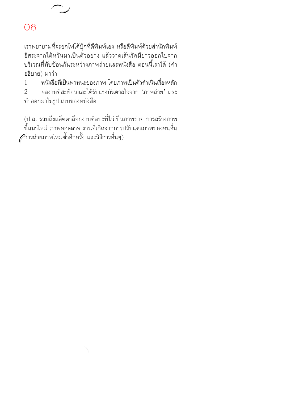ี เราพยายามที่จะยกโฟโต้บุ๊กที่ตีพิมพ์เอง หรือตีพิมพ์ด้วยสำนักพิมพ์<br>อิสระจากไต้หวันมาเป็นตัวอย่าง แล้ววาดเส้นรัศมียาวออกไปจาก บริเวณที่ทับซ้อนกันระหว่างภาพถ่ายและหนังสือ ตอนนี้เราได้ (คำ<br>อธิบาย) มาว่า

1 หนังสือที่เป็นพาหนะของภาพ โดยภาพเป็นตัวดำเนินเรื่องหลัก<br>2 ผลงานที่สะท้อนและได้รับแรงบันดาลใจจาก 'ภาพถ่าย' และ ้ ผลงานที่สะท้อนและได้รับแรงบันดาลใจจาก 'ภาพถ่่าย' และ ทำำออกมาในรููปแบบของหนัังสืือ

(ป.ล. รวมถึงแค็ตตาล็อกงานศิลปะที่ไม่เป็นภาพถ่่าย การสร้างภาพ ขึ้นมาใหม่ ภาพคอลลาจ งานที่เกิดจากการปรับแต่งภาพของคนอื่น กิารถ่ายภาพใหม่ซ้ำอีกครั้ง และวิธีการอื่นๆ)<br>-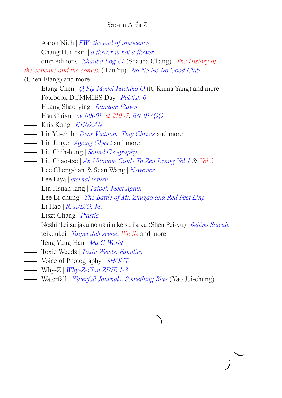- Aaron Nieh | *[FW: the end of innocence](https://www.nitesha.com/?pid=70929414
)*
- Chang Hui-hsin | *[a flower is not a flower](https://reurl.cc/QdrVeo
)*
- dmp editions | *[Shauba Log #1](http://www.hiwaterfall.com/store/dmp/)* (Shauba Chang) | *[The History of](http://www.hiwaterfall.com/store/dmp/dmp-editions/the-history-of-the-concave-and-the-convex-liu-yu/)*

*[the concave and the convex](http://www.hiwaterfall.com/store/dmp/dmp-editions/the-history-of-the-concave-and-the-convex-liu-yu/)* ( Liu Yu) | *[No No No No Good Club](http://www.hiwaterfall.com/store/dmp/
)*

(Chen Etang) and more

- Etang Chen | *[Q Pig Model Michiko Q](https://fotobookdummiesday.tumblr.com/post/180993218572/q%E8%B1%AC%E6%A8%A1%E7%BE%8E%E6%99%BA%E5%AD%90q-%E9%99%B3%E8%97%9D%E5%A0%82-ft-%E6%A5%8A%E6%99%BA%E5%AE%87-etang-chen-ft-kuma-yang)* (ft. Kuma Yang) and more
- Fotobook DUMMIES Day | *[Publish 0](https://reurl.cc/D9zbgj
)*
- Huang Shao-ying | *[Random Flavor](https://reurl.cc/V6A24y
)*
- Hsu Chiyu | *[cv-00001](https://reurl.cc/L3y2N4)*, *[st-21007](https://reurl.cc/4RKlQL)*, *[BN-01?QQ](https://reurl.cc/Qdr24O)*
- Kris Kang | *[KENZAN](https://reurl.cc/xZ5KAe)*
- Lin Yu-chih | *[Dear Vietnam](https://moom.cat/tw/item/dear-vietnam-b)*, *[Tiny Christs](https://moom.cat/tw/item/tiny-christs)* and more
- Lin Junye | *[Ageing Object](https://vimeo.com/222746335
)* and more
- Liu Chih-hung | *[Sound Geography](https://reurl.cc/KkVzQm)*
- Liu Chao-tze | *[An Ultimate Guide To Zen Living Vol.1](https://reurl.cc/rxy0Lx)* & *[Vol.2](https://reurl.cc/lVmpZq)*
- Lee Cheng-han & Sean Wang | *[Newester](https://leechenghan.com/newester
)*
- Lee Liya | *[eternal return](https://www.liyafoto.com/eternal-return)*
- Lin Hsuan-lang | *[Taipei, Meet Again](https://reurl.cc/g7Vn3L)*
- Lee Li-chung | *[The Battle of Mt. Zhugao and Red Feet Ling](https://vimeo.com/346805627)*
- Li Hao | *[R. A/E/O. M.](https://reurl.cc/xZ5Wme)*
- Liszt Chang | *[Plastic](https://vimeo.com/198351881)*
- Noshinkei suijaku no ushi n keisu ija ku (Shen Pei-yu) | *[Beijing Suicide](https://shenpeiyu.com/publications-1)*
- teikoukei | *[Taipei dull scene](https://www.teikoukei.com/blanke)*, *[Wu Se](https://fotobookdummiesday.tumblr.com/post/187330048867/%E7%89%A9%E8%89%B2-%E9%84%AD%E5%BC%98%E6%95%AC-%E7%89%A9%E8%89%B2%E6%AF%94%E6%83%B3%E5%83%8F%E4%B8%AD%E8%BC%95%E8%96%84%E9%87%8D%E5%8D%B0%E7%9A%84%E9%84%AD%E5%BC%98%E6%95%AC%E7%9A%84%E7%AC%AC%E4%B8%80%E6%9C%AC-zine)* and more
- Teng Yung Han | *[Ma G World](https://reurl.cc/vDYKnL
)*
- Toxic Weeds | *[Toxic Weeds](https://toxicweedszine.tumblr.com)*, *Families*
- Voice of Photography | *[SHOUT](https://reurl.cc/5ljR0M
)*
- Why-Z | *[Why-Z-Clan ZINE 1-3](https://why-z.net/zine-and-merch)*
- Waterfall | *[Waterfall Journals](http://www.hiwaterfall.com/store/waterfall/)*, *Something Blue* (Yao Jui-chung)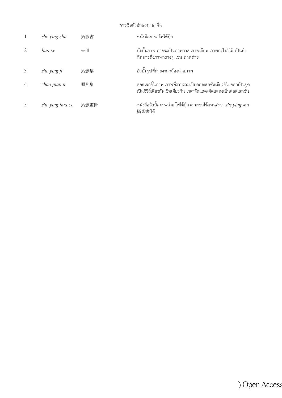#### รายชื่่�อตััวอัักษรภาษาจีีน

| she ying shu    | 攝影書  | หนังสือภาพ โฟโต้บุ๊ก                                                                                                             |
|-----------------|------|----------------------------------------------------------------------------------------------------------------------------------|
| hua ce          | 書冊   | ้อัลบั้มภาพ อาจจะเป็นภาพวาด ภาพเขียน ภาพอะไรก็ได้ เป็นคำ<br>์ที่หมายถึงภาพกลางๆ เช่น ภาพถ่าย                                     |
| she ying ji     | 攝影集  | ้อัลบั้มรูปที่ถ่ายจากกล้องถ่ายภาพ                                                                                                |
| zhao pian ji    | 照片集  | ิ คอลเลกชั่นภาพ ภาพที่รวบรวมเป็นคอลเลกชั่นเดียวกัน ออกเป็นชุด<br>เป็นซีรีส์เดียวกัน ธีมเดียวกัน เวลาจัดแสดงจัดแสดงเป็นคอลเลกชั่น |
| she ying hua ce | 攝影畫冊 | หนังสืออัลบั้มภาพถ่าย โฟโต้บุ๊ก สามารถใช้แทนคำว่า she ying shu<br>攝影書】。                                                          |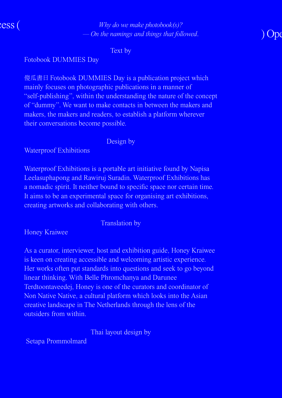

*Why do we make photobook(s)? — On the namings and things that followed*.

Text by

Fotobook DUMMIES Day

傻瓜書日 Fotobook DUMMIES Day is a publication project which mainly focuses on photographic publications in a manner of "self-publishing", within the understanding the nature of the concept of "dummy". We want to make contacts in between the makers and makers, the makers and readers, to establish a platform wherever their conversations become possible.

Design by

Waterproof Exhibitions

Waterproof Exhibitions is a portable art initiative found by Napisa Leelasuphapong and Rawiruj Suradin. Waterproof Exhibitions has a nomadic spirit. It neither bound to specific space nor certain time. It aims to be an experimental space for organising art exhibitions, creating artworks and collaborating with others.

Translation by

Honey Kraiwee

As a curator, interviewer, host and exhibition guide, Honey Kraiwee is keen on creating accessible and welcoming artistic experience. Her works often put standards into questions and seek to go beyond linear thinking. With Belle Phromchanya and Darunee Terdtoontaveedej, Honey is one of the curators and coordinator of Non Native Native, a cultural platform which looks into the Asian creative landscape in The Netherlands through the lens of the outsiders from within.

Thai layout design by

Setapa Prommolmard

# $\overline{O}$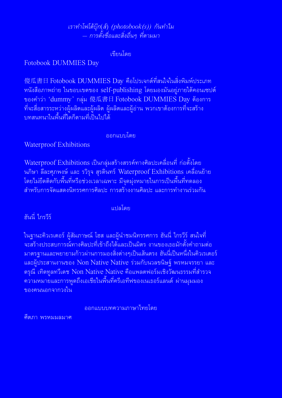*เราทำำ โฟโต้้บุ๊๊�ก*(*ส์์*) *(photobook(s)) กัันทำำ ไม*   $-$  การตั้งชื่อและสิ่งอื่นๆ ที่ตามมา *่�*

เขีียนโดย

Fotobook DUMMIES Day

 $\frac{1}{2}$ 傻瓜書日 Fotobook DUMMIES Day คือโปรเจกต์ที่สนใจในสิ่งพิมพ์ประเภท หนังสือภาพถ่าย ในขอบเขตของ self-publishing โดยมองมันอย่ภายใต้คอนเซปต์ ของคำว่า 'dummy' กลุ่ม 傻瓜書日 Fotobook DUMMIES Day ต้องการ ้ ที่่จะสื่อสารระหว่างผู้ผลิตและผู้ผลิต ผู้ผลิตและผู้อ่าน พวกเขาต้องการที่่จะสร้าง ้ำเทสนทนาในพื้นที่ไดก็ตามที่เป็นไปได้

ออกแบบโดย

Waterproof Exhibitions

Waterproof Exhibitions เป็นกลุ่มสร้างสรรค์ทางศิลปะเคลื่อนที่ ก่อตั้งโดย ้ นภิษา ลีละศุภพงษ์ และ รวิรุจ สุรดินทร์ Waterproof Exhibitions เคลื่อนย้าย ่ โดยไม่ยึดติดกับพื้นที่่หรือช่วงเวลาเฉพาะ มีจุดมุ่งหมายในการเป็นพื้นที่่ทดลอง สำำ หรัับการจััดแสดงนิิทรรศการศิิลปะ การสร้้างงานศิิลปะ และการทำำ งานร่่วมกััน

แปลโดย

้ ฮันนี่ ไกรวีร์

่ ในฐานะคิวเรเตอร์ ผู้สัมภาษณ์ โฮส และผู้นำชมนิทรรศการ ฮันนี่ ไกรวีร์ สนใจที่<br>่ จะสร้างประสบการณ์ทางศิลปะที่เข้าถึงได้และเป็นมิตร งานของเธอมักตั้งคำถามต่อ ่ มาตรฐานและพยายามก้าวผ่านการมองสิ่งต่างๆเป็นเส้นตรง ฮันนี่่เป็นหนึ่งในคิวเรเตอร์<br>และผู้ประสานงานของ Non Native Native ร่วมกับนวลขนิษฐ์ พรหมจรรยา และ ี ดรุณี เทิดทูลทวีเดช Non Native Native คือแพลตฟอร์มเชิงวัฒนธรรมที่สำรวจ <u>ี ความหมายและการพูดถึงเอเชียในพื้นที่ครีเอทีฟของเนเธอร์แลนด์ ผ่านมุมมอง</u> ของคนนอกจากวงใน

ออกแบบบทความภาษาไทยโดย

ศีีตภา พรหมมลมาศ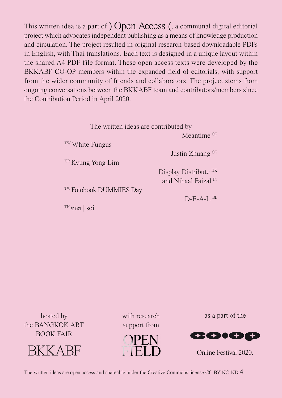This written idea is a part of  $)$  Open Access (, a communal digital editorial project which advocates independent publishing as a means of knowledge production and circulation. The project resulted in original research-based downloadable PDFs in English, with Thai translations. Each text is designed in a unique layout within the shared A4 PDF file format. These open access texts were developed by the BKKABF CO-OP members within the expanded field of editorials, with support from the wider community of friends and collaborators. The project stems from ongoing conversations between the BKKABF team and contributors/members since the Contribution Period in April 2020.

|                            | The written ideas are contributed by |  |  |
|----------------------------|--------------------------------------|--|--|
|                            | Meantime s <sub>G</sub>              |  |  |
| <sup>TW</sup> White Fungus |                                      |  |  |
|                            | Justin Zhuang s <sub>G</sub>         |  |  |
|                            | <sup>KR</sup> Kyung Yong Lim         |  |  |
|                            | Display Distribute <sup>HK</sup>     |  |  |
|                            | and Nihaal Faizal $\mathbb N$        |  |  |

TW Fotobook DUMMIES Day

TH ซอย | soi

 $D-E-A-I$ ,  $BL$ 

hosted by the BANGKOK ART BOOK FAIR



with research support from



as a part of the



Online Festival 2020.

The written ideas are open access and shareable unde[r the Creative Commons license CC BY-NC-ND 4.](https://creativecommons.org/licenses/by-nc-nd/4.0/)